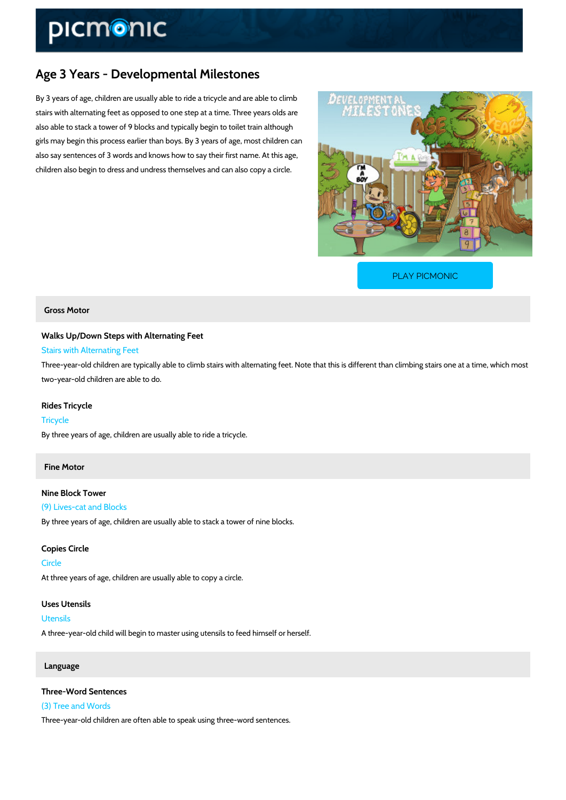# Age 3 Years - Developmental Milestones

By 3 years of age, children are usually able to ride a tricycle and are able to climb stairs with alternating feet as opposed to one step at a time. Three years olds are also able to stack a tower of 9 blocks and typically begin to toilet train although girls may begin this process earlier than boys. By 3 years of age, most children can also say sentences of 3 words and knows how to say their first name. At this age, children also begin to dress and undress themselves and can also copy a circle.

[PLAY PICMONIC](https://www.picmonic.com/learn/age-3-years-developmental-milestones_5766?utm_source=downloadable_content&utm_medium=distributedcontent&utm_campaign=pathways_pdf&utm_content=Age 3 Years - Developmental Milestones&utm_ad_group=leads&utm_market=all)

#### Gross Motor

Walks Up/Down Steps with Alternating Feet Stairs with Alternating Feet

Three-year-old children are typically able to climb stairs with alternating feet. Note that this two-year-old children are able to do.

Rides Tricycle Tricycle By three years of age, children are usually able to ride a tricycle.

### Fine Motor

Nine Block Tower (9) Lives-cat and Blocks By three years of age, children are usually able to stack a tower of nine blocks.

Copies Circle Circle At three years of age, children are usually able to copy a circle.

Uses Utensils Utensils A three-year-old child will begin to master using utensils to feed himself or herself.

#### Language

Three-Word Sentences (3) Tree and Words Three-year-old children are often able to speak using three-word sentences.